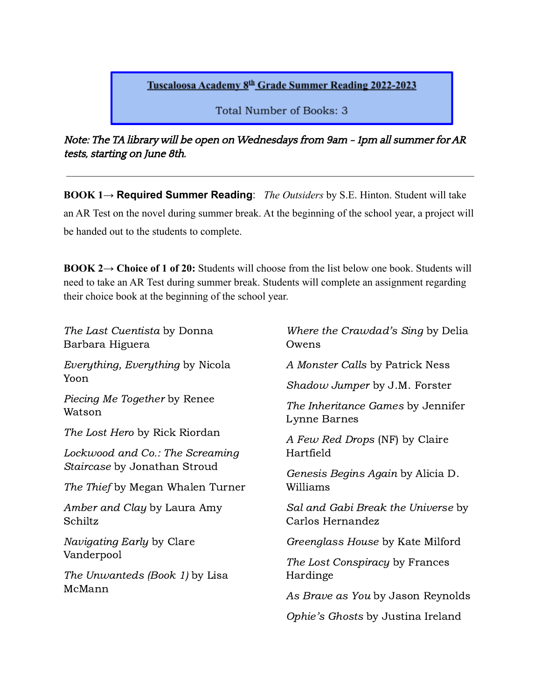## Tuscaloosa Academy 8th Grade Summer Reading 2022-2023

Total Number of Books: 3

Note: The TA library will be open on Wednesdays from 9am - 1pm all summer for AR tests, starting on June 8th.

**BOOK 1→ Required Summer Reading**: *The Outsiders* by S.E. Hinton. Student will take an AR Test on the novel during summer break. At the beginning of the school year, a project will be handed out to the students to complete.

**BOOK 2→ Choice of 1 of 20:** Students will choose from the list below one book. Students will need to take an AR Test during summer break. Students will complete an assignment regarding their choice book at the beginning of the school year.

| The Last Cuentista by Donna<br>Barbara Higuera | Where the Crawdad's Sing by Delia<br>Owens             |
|------------------------------------------------|--------------------------------------------------------|
| Everything, Everything by Nicola<br>Yoon       | A Monster Calls by Patrick Ness                        |
|                                                | <i>Shadow Jumper</i> by J.M. Forster                   |
| <i>Piecing Me Together by Renee</i><br>Watson  | The Inheritance Games by Jennifer<br>Lynne Barnes      |
| <i>The Lost Hero by Rick Riordan</i>           | A Few Red Drops (NF) by Claire                         |
| Lockwood and Co.: The Screaming                | Hartfield                                              |
| Staircase by Jonathan Stroud                   | Genesis Begins Again by Alicia D.                      |
| <i>The Thief</i> by Megan Whalen Turner        | Williams                                               |
| Amber and Clay by Laura Amy<br>Schiltz         | Sal and Gabi Break the Universe by<br>Carlos Hernandez |
| <i>Navigating Early</i> by Clare<br>Vanderpool | Greenglass House by Kate Milford                       |
|                                                | The Lost Conspiracy by Frances                         |
| The Unwanteds (Book 1) by Lisa<br>McMann       | Hardinge                                               |
|                                                | As Brave as You by Jason Reynolds                      |
|                                                | Ophie's Ghosts by Justina Ireland                      |